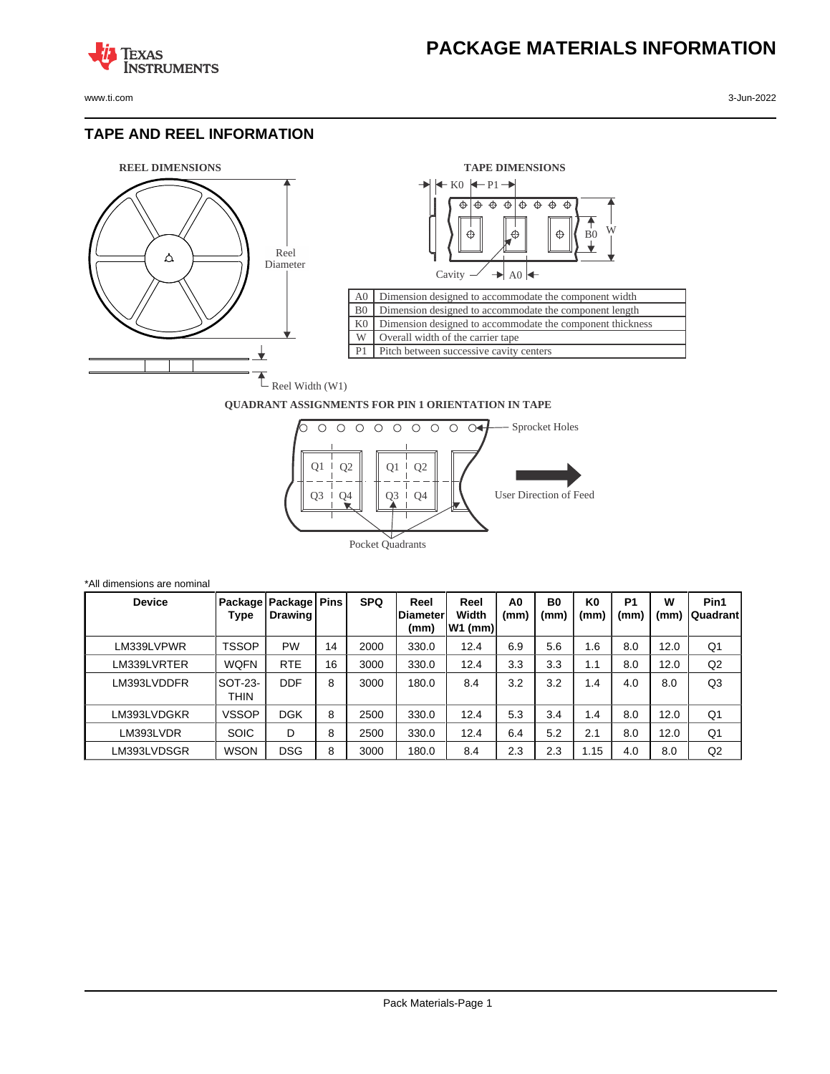

**TEXAS** 

**ISTRUMENTS** 

## **TAPE AND REEL INFORMATION**





## **QUADRANT ASSIGNMENTS FOR PIN 1 ORIENTATION IN TAPE**



| *All dimensions are nominal |                        |                                     |    |            |                                  |                            |                        |                        |                        |                        |           |                  |
|-----------------------------|------------------------|-------------------------------------|----|------------|----------------------------------|----------------------------|------------------------|------------------------|------------------------|------------------------|-----------|------------------|
| <b>Device</b>               | Type                   | Package   Package   Pins<br>Drawing |    | <b>SPQ</b> | Reel<br><b>IDiameter</b><br>(mm) | Reel<br>Width<br>$W1$ (mm) | A <sub>0</sub><br>(mm) | B <sub>0</sub><br>(mm) | K <sub>0</sub><br>(mm) | P <sub>1</sub><br>(mm) | W<br>(mm) | Pin1<br>Quadrant |
| LM339LVPWR                  | TSSOP                  | <b>PW</b>                           | 14 | 2000       | 330.0                            | 12.4                       | 6.9                    | 5.6                    | 1.6                    | 8.0                    | 12.0      | Q1               |
| LM339LVRTER                 | <b>WQFN</b>            | <b>RTE</b>                          | 16 | 3000       | 330.0                            | 12.4                       | 3.3                    | 3.3                    | 1.1                    | 8.0                    | 12.0      | Q2               |
| LM393LVDDFR                 | <b>SOT-23-</b><br>THIN | <b>DDF</b>                          | 8  | 3000       | 180.0                            | 8.4                        | 3.2                    | 3.2                    | 1.4                    | 4.0                    | 8.0       | Q <sub>3</sub>   |
| LM393LVDGKR                 | <b>VSSOP</b>           | <b>DGK</b>                          | 8  | 2500       | 330.0                            | 12.4                       | 5.3                    | 3.4                    | 1.4                    | 8.0                    | 12.0      | Q1               |
| LM393LVDR                   | <b>SOIC</b>            | D                                   | 8  | 2500       | 330.0                            | 12.4                       | 6.4                    | 5.2                    | 2.1                    | 8.0                    | 12.0      | Q <sub>1</sub>   |
| LM393LVDSGR                 | <b>WSON</b>            | <b>DSG</b>                          | 8  | 3000       | 180.0                            | 8.4                        | 2.3                    | 2.3                    | 1.15                   | 4.0                    | 8.0       | Q2               |